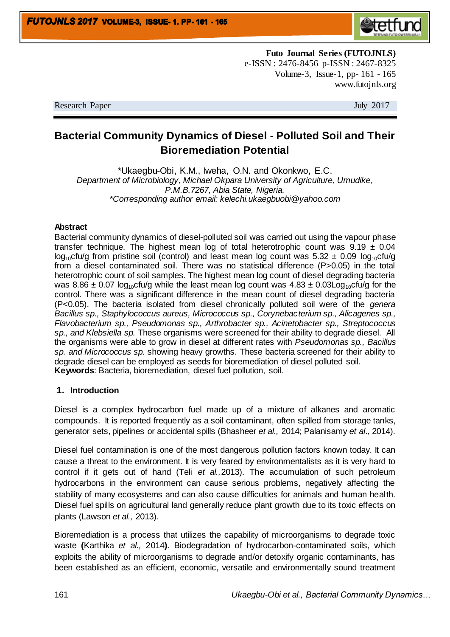

**Futo Journal Series (FUTOJNLS)** e-ISSN : 2476-8456 p-ISSN : 2467-8325 Volume-3, Issue-1, pp- 161 - 165 www.futojnls.org

Research Paper July 2017

# **Bacterial Community Dynamics of Diesel - Polluted Soil and Their Bioremediation Potential**

\*Ukaegbu-Obi, K.M., Iweha, O.N. and Okonkwo, E.C. *Department of Microbiology, Michael Okpara University of Agriculture, Umudike, P.M.B.7267, Abia State, Nigeria. \*Corresponding author email: [kelechi.ukaegbuobi@yahoo.com](mailto:kelechi.ukaegbuobi@yahoo.com)*

#### **Abstract**

Bacterial community dynamics of diesel-polluted soil was carried out using the vapour phase transfer technique. The highest mean log of total heterotrophic count was  $9.19 \pm 0.04$  $log_{10}$ cfu/g from pristine soil (control) and least mean log count was 5.32  $\pm$  0.09 log<sub>10</sub>cfu/g from a diesel contaminated soil. There was no statistical difference (P>0.05) in the total heterotrophic count of soil samples. The highest mean log count of diesel degrading bacteria was 8.86  $\pm$  0.07 log<sub>10</sub>cfu/g while the least mean log count was 4.83  $\pm$  0.03Log<sub>10</sub>cfu/g for the control. There was a significant difference in the mean count of diesel degrading bacteria (P<0.05). The bacteria isolated from diesel chronically polluted soil were of the *genera Bacillus sp., Staphylococcus aureus, Micrococcus sp., Corynebacterium sp., Alicagenes sp., Flavobacterium sp., Pseudomonas sp., Arthrobacter sp., Acinetobacter sp., Streptococcus sp., and Klebsiella sp.* These organisms were screened for their ability to degrade diesel. All the organisms were able to grow in diesel at different rates with *Pseudomonas sp., Bacillus sp. and Micrococcus sp.* showing heavy growths. These bacteria screened for their ability to degrade diesel can be employed as seeds for bioremediation of diesel polluted soil. **Keywords**: Bacteria, bioremediation, diesel fuel pollution, soil.

#### **1. Introduction**

Diesel is a complex hydrocarbon fuel made up of a mixture of alkanes and aromatic compounds. It is reported frequently as a soil contaminant, often spilled from storage tanks, generator sets, pipelines or accidental spills (Bhasheer *et al.,* 2014; Palanisamy *et al*., 2014).

Diesel fuel contamination is one of the most dangerous pollution factors known today. It can cause a threat to the environment. It is very feared by environmentalists as it is very hard to control if it gets out of hand (Teli *et al.,*2013). The accumulation of such petroleum hydrocarbons in the environment can cause serious problems, negatively affecting the stability of many ecosystems and can also cause difficulties for animals and human health. Diesel fuel spills on agricultural land generally reduce plant growth due to its toxic effects on plants (Lawson *et al.,* 2013).

Bioremediation is a process that utilizes the capability of microorganisms to degrade toxic waste **(**Karthika *et al.,* 2014**)**. Biodegradation of hydrocarbon-contaminated soils, which exploits the ability of microorganisms to degrade and/or detoxify organic contaminants, has been established as an efficient, economic, versatile and environmentally sound treatment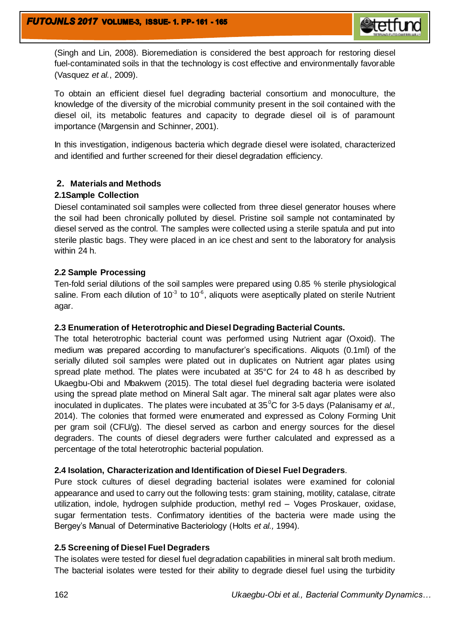

(Singh and Lin, 2008). Bioremediation is considered the best approach for restoring diesel fuel-contaminated soils in that the technology is cost effective and environmentally favorable (Vasquez *et al.*, 2009).

To obtain an efficient diesel fuel degrading bacterial consortium and monoculture, the knowledge of the diversity of the microbial community present in the soil contained with the diesel oil, its metabolic features and capacity to degrade diesel oil is of paramount importance (Margensin and Schinner, 2001).

In this investigation, indigenous bacteria which degrade diesel were isolated, characterized and identified and further screened for their diesel degradation efficiency.

# **2. Materials and Methods**

#### **2.1Sample Collection**

Diesel contaminated soil samples were collected from three diesel generator houses where the soil had been chronically polluted by diesel. Pristine soil sample not contaminated by diesel served as the control. The samples were collected using a sterile spatula and put into sterile plastic bags. They were placed in an ice chest and sent to the laboratory for analysis within 24 h.

## **2.2 Sample Processing**

Ten-fold serial dilutions of the soil samples were prepared using 0.85 % sterile physiological saline. From each dilution of 10<sup>-3</sup> to 10<sup>-6</sup>, aliquots were aseptically plated on sterile Nutrient agar.

#### **2.3 Enumeration of Heterotrophic and Diesel Degrading Bacterial Counts.**

The total heterotrophic bacterial count was performed using Nutrient agar (Oxoid). The medium was prepared according to manufacturer's specifications. Aliquots (0.1ml) of the serially diluted soil samples were plated out in duplicates on Nutrient agar plates using spread plate method. The plates were incubated at 35°C for 24 to 48 h as described by Ukaegbu-Obi and Mbakwem (2015). The total diesel fuel degrading bacteria were isolated using the spread plate method on Mineral Salt agar. The mineral salt agar plates were also inoculated in duplicates. The plates were incubated at 35<sup>°</sup>C for 3-5 days (Palanisamy *et al.,* 2014). The colonies that formed were enumerated and expressed as Colony Forming Unit per gram soil (CFU/g). The diesel served as carbon and energy sources for the diesel degraders. The counts of diesel degraders were further calculated and expressed as a percentage of the total heterotrophic bacterial population.

#### **2.4 Isolation, Characterization and Identification of Diesel Fuel Degraders**.

Pure stock cultures of diesel degrading bacterial isolates were examined for colonial appearance and used to carry out the following tests: gram staining, motility, catalase, citrate utilization, indole, hydrogen sulphide production, methyl red – Voges Proskauer, oxidase, sugar fermentation tests. Confirmatory identities of the bacteria were made using the Bergey's Manual of Determinative Bacteriology (Holts *et al.,* 1994).

#### **2.5 Screening of Diesel Fuel Degraders**

The isolates were tested for diesel fuel degradation capabilities in mineral salt broth medium. The bacterial isolates were tested for their ability to degrade diesel fuel using the turbidity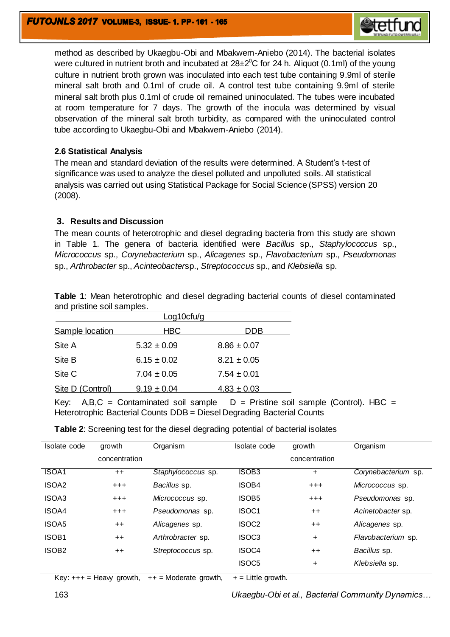

method as described by Ukaegbu-Obi and Mbakwem-Aniebo (2014). The bacterial isolates were cultured in nutrient broth and incubated at 28 $\pm 2^0$ C for 24 h. Aliquot (0.1ml) of the young culture in nutrient broth grown was inoculated into each test tube containing 9.9ml of sterile mineral salt broth and 0.1ml of crude oil. A control test tube containing 9.9ml of sterile mineral salt broth plus 0.1ml of crude oil remained uninoculated. The tubes were incubated at room temperature for 7 days. The growth of the inocula was determined by visual observation of the mineral salt broth turbidity, as compared with the uninoculated control tube according to Ukaegbu-Obi and Mbakwem-Aniebo (2014).

#### **2.6 Statistical Analysis**

The mean and standard deviation of the results were determined. A Student's t-test of significance was used to analyze the diesel polluted and unpolluted soils. All statistical analysis was carried out using Statistical Package for Social Science (SPSS) version 20 (2008).

## **3. Results and Discussion**

The mean counts of heterotrophic and diesel degrading bacteria from this study are shown in Table 1. The genera of bacteria identified were *Bacillus* sp., *Staphylococcus* sp., *Micrococcus* sp., *Corynebacterium* sp., *Alicagenes* sp., *Flavobacterium* sp., *Pseudomonas* sp., *Arthrobacter* sp., *Acinteobacter*sp., *Streptococcus* sp., and *Klebsiella* sp.

| <b>Table 1:</b> Mean heterotrophic and diesel degrading bacterial counts of diesel contaminated |  |  |  |  |  |
|-------------------------------------------------------------------------------------------------|--|--|--|--|--|
| and pristine soil samples.                                                                      |  |  |  |  |  |

| Log10cfu/g       |                 |                 |  |  |  |  |
|------------------|-----------------|-----------------|--|--|--|--|
| Sample location  | <b>HBC</b>      | DDB             |  |  |  |  |
| Site A           | $5.32 \pm 0.09$ | $8.86 \pm 0.07$ |  |  |  |  |
| Site B           | $6.15 \pm 0.02$ | $8.21 \pm 0.05$ |  |  |  |  |
| Site C           | $7.04 \pm 0.05$ | $7.54 \pm 0.01$ |  |  |  |  |
| Site D (Control) | $9.19 \pm 0.04$ | $4.83 \pm 0.03$ |  |  |  |  |

Key:  $A,B,C =$  Contaminated soil sample  $D =$  Pristine soil sample (Control). HBC = Heterotrophic Bacterial Counts DDB = Diesel Degrading Bacterial Counts

**Table 2**: Screening test for the diesel degrading potential of bacterial isolates

| Isolate code      | growth        | Organism           | Isolate code      | growth        | Organism            |
|-------------------|---------------|--------------------|-------------------|---------------|---------------------|
|                   | concentration |                    |                   | concentration |                     |
| <b>ISOA1</b>      | $++$          | Staphylococcus sp. | ISOB <sub>3</sub> | ÷.            | Corynebacterium sp. |
| ISOA <sub>2</sub> | $^{+++}$      | Bacillus sp.       | <b>ISOB4</b>      | $+ + +$       | Micrococcus sp.     |
| ISOA3             | $^{+++}$      | Micrococcus sp.    | <b>ISOB5</b>      | $+++$         | Pseudomonas sp.     |
| <b>ISOA4</b>      | $^{+++}$      | Pseudomonas sp.    | ISOC <sub>1</sub> | $++$          | Acinetobacter sp.   |
| ISOA5             | $++$          | Alicagenes sp.     | ISOC <sub>2</sub> | $++$          | Alicagenes sp.      |
| ISOB <sub>1</sub> | $++$          | Arthrobracter sp.  | ISOC <sub>3</sub> | +             | Flavobacterium sp.  |
| ISOB <sub>2</sub> | $++$          | Streptococcus sp.  | ISOC <sub>4</sub> | $++$          | Bacillus sp.        |
|                   |               |                    | ISOC <sub>5</sub> | $\ddot{}$     | Klebsiella sp.      |

Key:  $+++$  = Heavy growth,  $++$  = Moderate growth,  $+$  = Little growth.

163 *Ukaegbu-Obi et al., Bacterial Community Dynamics…*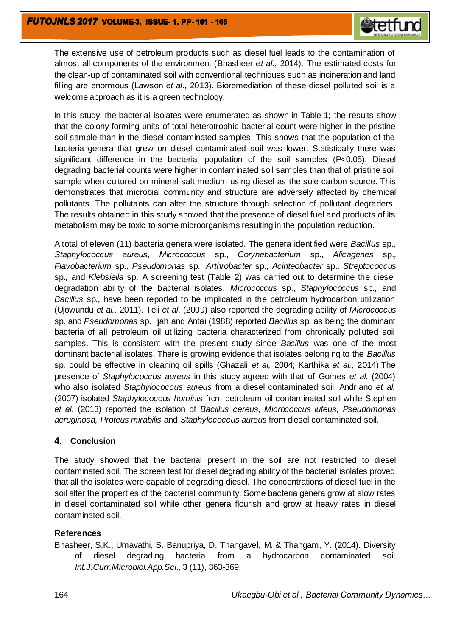

The extensive use of petroleum products such as diesel fuel leads to the contamination of almost all components of the environment (Bhasheer *et al*., 2014). The estimated costs for the clean-up of contaminated soil with conventional techniques such as incineration and land filling are enormous (Lawson *et al.,* 2013). Bioremediation of these diesel polluted soil is a welcome approach as it is a green technology.

In this study, the bacterial isolates were enumerated as shown in Table 1; the results show that the colony forming units of total heterotrophic bacterial count were higher in the pristine soil sample than in the diesel contaminated samples. This shows that the population of the bacteria genera that grew on diesel contaminated soil was lower. Statistically there was significant difference in the bacterial population of the soil samples (P<0.05). Diesel degrading bacterial counts were higher in contaminated soil samples than that of pristine soil sample when cultured on mineral salt medium using diesel as the sole carbon source. This demonstrates that microbial community and structure are adversely affected by chemical pollutants. The pollutants can alter the structure through selection of pollutant degraders. The results obtained in this study showed that the presence of diesel fuel and products of its metabolism may be toxic to some microorganisms resulting in the population reduction.

A total of eleven (11) bacteria genera were isolated. The genera identified were *Bacillus* sp.*, Staphylococcus aureus, Micrococcus* sp., *Corynebacterium* sp.*, Alicagenes* sp.*, Flavobacterium* sp.*, Pseudomonas* sp.*, Arthrobacter* sp.*, Acinteobacter* sp.*, Streptococcus*  sp.*,* and *Klebsiella* sp. A screening test (Table 2) was carried out to determine the diesel degradation ability of the bacterial isolates. *Micrococcus* sp., *Staphylococcus* sp*.,* and *Bacillus* sp*.,* have been reported to be implicated in the petroleum hydrocarbon utilization (Ujowundu *et al.,* 2011). Teli *et al*. (2009) also reported the degrading ability of *Micrococcus*  sp*.* and *Pseudomonas* sp. Ijah and Antai (1988) reported *Bacillus* sp*.* as being the dominant bacteria of all petroleum oil utilizing bacteria characterized from chronically polluted soil samples. This is consistent with the present study since *Bacillus* was one of the most dominant bacterial isolates. There is growing evidence that isolates belonging to the *Bacillus*  sp*.* could be effective in cleaning oil spills (Ghazali *et al,* 2004; Karthika *et al.,* 2014).The presence of *Staphylococcus aureus* in this study agreed with that of Gomes *et al.* (2004) who also isolated *Staphylococcus aureus* from a diesel contaminated soil. Andriano *et al.* (2007) isolated *Staphylococcus hominis* from petroleum oil contaminated soil while Stephen *et al*. (2013) reported the isolation of *Bacillus cereus, Micrococcus luteus, Pseudomonas aeruginosa, Proteus mirabilis* and *Staphylococcus aureus* from diesel contaminated soil*.*

#### **4. Conclusion**

The study showed that the bacterial present in the soil are not restricted to diesel contaminated soil. The screen test for diesel degrading ability of the bacterial isolates proved that all the isolates were capable of degrading diesel. The concentrations of diesel fuel in the soil alter the properties of the bacterial community. Some bacteria genera grow at slow rates in diesel contaminated soil while other genera flourish and grow at heavy rates in diesel contaminated soil.

# **References**

Bhasheer, S.K., Umavathi, S. Banupriya, D. Thangavel, M. & Thangam, Y. (2014). Diversity of diesel degrading bacteria from a hydrocarbon contaminated soil *Int.J.Curr.Microbiol.App.Sci*., 3 (11), 363-369.